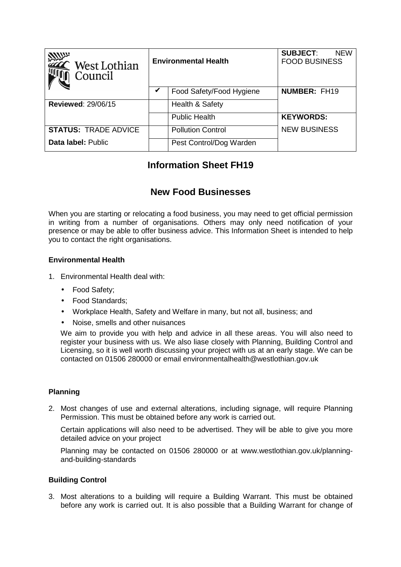| <b>ANUS</b><br>West Lothian<br>Council | <b>Environmental Health</b> |                          | <b>SUBJECT:</b><br><b>NEW</b><br><b>FOOD BUSINESS</b> |
|----------------------------------------|-----------------------------|--------------------------|-------------------------------------------------------|
|                                        | V                           | Food Safety/Food Hygiene | <b>NUMBER: FH19</b>                                   |
| <b>Reviewed: 29/06/15</b>              |                             | Health & Safety          |                                                       |
|                                        |                             | <b>Public Health</b>     | <b>KEYWORDS:</b>                                      |
| <b>STATUS: TRADE ADVICE</b>            |                             | <b>Pollution Control</b> | <b>NEW BUSINESS</b>                                   |
| Data label: Public                     |                             | Pest Control/Dog Warden  |                                                       |

# **Information Sheet FH19**

# **New Food Businesses**

When you are starting or relocating a food business, you may need to get official permission in writing from a number of organisations. Others may only need notification of your presence or may be able to offer business advice. This Information Sheet is intended to help you to contact the right organisations.

## **Environmental Health**

- 1. Environmental Health deal with:
	- Food Safety;
	- Food Standards;
	- Workplace Health, Safety and Welfare in many, but not all, business; and
	- Noise, smells and other nuisances

We aim to provide you with help and advice in all these areas. You will also need to register your business with us. We also liase closely with Planning, Building Control and Licensing, so it is well worth discussing your project with us at an early stage. We can be contacted on 01506 280000 or email environmentalhealth@westlothian.gov.uk

## **Planning**

2. Most changes of use and external alterations, including signage, will require Planning Permission. This must be obtained before any work is carried out.

Certain applications will also need to be advertised. They will be able to give you more detailed advice on your project

Planning may be contacted on 01506 280000 or at www.westlothian.gov.uk/planningand-building-standards

## **Building Control**

3. Most alterations to a building will require a Building Warrant. This must be obtained before any work is carried out. It is also possible that a Building Warrant for change of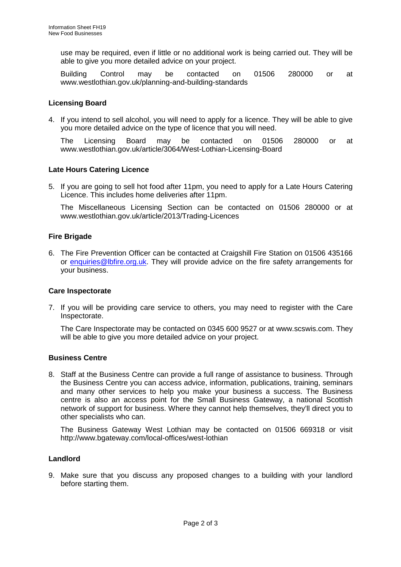use may be required, even if little or no additional work is being carried out. They will be able to give you more detailed advice on your project.

Building Control may be contacted on 01506 280000 or at www.westlothian.gov.uk/planning-and-building-standards

### **Licensing Board**

4. If you intend to sell alcohol, you will need to apply for a licence. They will be able to give you more detailed advice on the type of licence that you will need.

The Licensing Board may be contacted on 01506 280000 or at www.westlothian.gov.uk/article/3064/West-Lothian-Licensing-Board

#### **Late Hours Catering Licence**

5. If you are going to sell hot food after 11pm, you need to apply for a Late Hours Catering Licence. This includes home deliveries after 11pm.

The Miscellaneous Licensing Section can be contacted on 01506 280000 or at www.westlothian.gov.uk/article/2013/Trading-Licences

#### **Fire Brigade**

6. The Fire Prevention Officer can be contacted at Craigshill Fire Station on 01506 435166 or enquiries@lbfire.org.uk. They will provide advice on the fire safety arrangements for your business.

#### **Care Inspectorate**

7. If you will be providing care service to others, you may need to register with the Care Inspectorate.

The Care Inspectorate may be contacted on 0345 600 9527 or at www.scswis.com. They will be able to give you more detailed advice on your project.

#### **Business Centre**

8. Staff at the Business Centre can provide a full range of assistance to business. Through the Business Centre you can access advice, information, publications, training, seminars and many other services to help you make your business a success. The Business centre is also an access point for the Small Business Gateway, a national Scottish network of support for business. Where they cannot help themselves, they'll direct you to other specialists who can.

The Business Gateway West Lothian may be contacted on 01506 669318 or visit http://www.bgateway.com/local-offices/west-lothian

### **Landlord**

9. Make sure that you discuss any proposed changes to a building with your landlord before starting them.